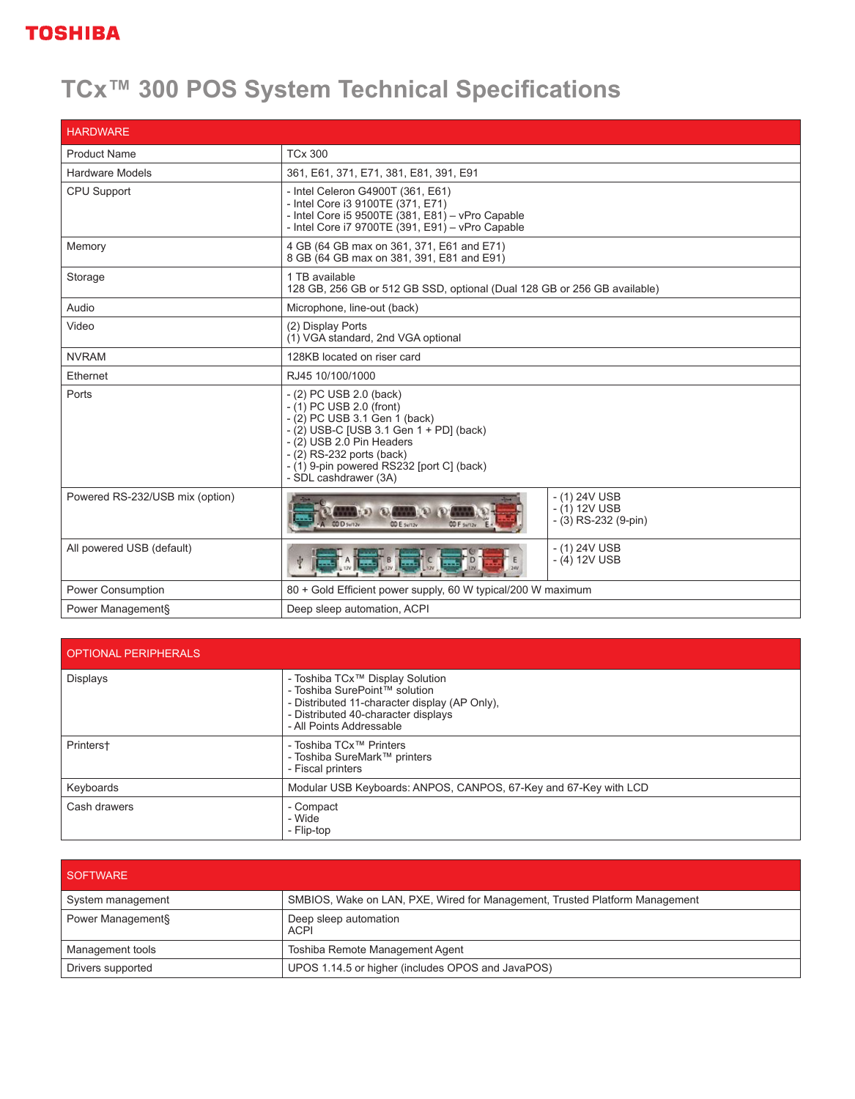## **TOSHIBA**

## **TCx™ 300 POS System Technical Specifications**

| <b>HARDWARE</b>                 |                                                                                                                                                                                                                                                                             |                                                              |
|---------------------------------|-----------------------------------------------------------------------------------------------------------------------------------------------------------------------------------------------------------------------------------------------------------------------------|--------------------------------------------------------------|
| <b>Product Name</b>             | <b>TCx 300</b>                                                                                                                                                                                                                                                              |                                                              |
| <b>Hardware Models</b>          | 361, E61, 371, E71, 381, E81, 391, E91                                                                                                                                                                                                                                      |                                                              |
| <b>CPU Support</b>              | - Intel Celeron G4900T (361, E61)<br>- Intel Core i3 9100TE (371, E71)<br>- Intel Core i5 9500TE $(381, E81)$ - vPro Capable<br>- Intel Core i7 9700TE (391, E91) - vPro Capable                                                                                            |                                                              |
| Memory                          | 4 GB (64 GB max on 361, 371, E61 and E71)<br>8 GB (64 GB max on 381, 391, E81 and E91)                                                                                                                                                                                      |                                                              |
| Storage                         | 1 TB available<br>128 GB, 256 GB or 512 GB SSD, optional (Dual 128 GB or 256 GB available)                                                                                                                                                                                  |                                                              |
| Audio                           | Microphone, line-out (back)                                                                                                                                                                                                                                                 |                                                              |
| Video                           | (2) Display Ports<br>(1) VGA standard, 2nd VGA optional                                                                                                                                                                                                                     |                                                              |
| <b>NVRAM</b>                    | 128KB located on riser card                                                                                                                                                                                                                                                 |                                                              |
| Ethernet                        | RJ45 10/100/1000                                                                                                                                                                                                                                                            |                                                              |
| Ports                           | $-$ (2) PC USB 2.0 (back)<br>$-$ (1) PC USB 2.0 (front)<br>$-$ (2) PC USB 3.1 Gen 1 (back)<br>$-$ (2) USB-C [USB 3.1 Gen $1 +$ PD] (back)<br>- (2) USB 2.0 Pin Headers<br>$-$ (2) RS-232 ports (back)<br>- (1) 9-pin powered RS232 [port C] (back)<br>- SDL cashdrawer (3A) |                                                              |
| Powered RS-232/USB mix (option) | <b>CONTROL</b><br>AAD Switzv<br>CO E synty<br>W F Syn2y                                                                                                                                                                                                                     | $-$ (1) 24V USB<br>$-$ (1) 12V USB<br>$-$ (3) RS-232 (9-pin) |
| All powered USB (default)       |                                                                                                                                                                                                                                                                             | $-$ (1) 24V USB<br>$-$ (4) 12V USB                           |
| Power Consumption               | 80 + Gold Efficient power supply, 60 W typical/200 W maximum                                                                                                                                                                                                                |                                                              |
| Power Management§               | Deep sleep automation, ACPI                                                                                                                                                                                                                                                 |                                                              |

| <b>OPTIONAL PERIPHERALS</b> |                                                                                                                                                                                      |
|-----------------------------|--------------------------------------------------------------------------------------------------------------------------------------------------------------------------------------|
| <b>Displays</b>             | - Toshiba TCx™ Display Solution<br>- Toshiba SurePoint™ solution<br>- Distributed 11-character display (AP Only),<br>- Distributed 40-character displays<br>- All Points Addressable |
| Printers <sup>+</sup>       | - Toshiba TCx™ Printers<br>- Toshiba SureMark™ printers<br>- Fiscal printers                                                                                                         |
| Keyboards                   | Modular USB Keyboards: ANPOS, CANPOS, 67-Key and 67-Key with LCD                                                                                                                     |
| Cash drawers                | - Compact<br>- Wide<br>- Flip-top                                                                                                                                                    |

| <b>SOFTWARE</b>   |                                                                             |
|-------------------|-----------------------------------------------------------------------------|
| System management | SMBIOS, Wake on LAN, PXE, Wired for Management, Trusted Platform Management |
| Power Management§ | Deep sleep automation<br><b>ACPI</b>                                        |
| Management tools  | Toshiba Remote Management Agent                                             |
| Drivers supported | UPOS 1.14.5 or higher (includes OPOS and JavaPOS)                           |